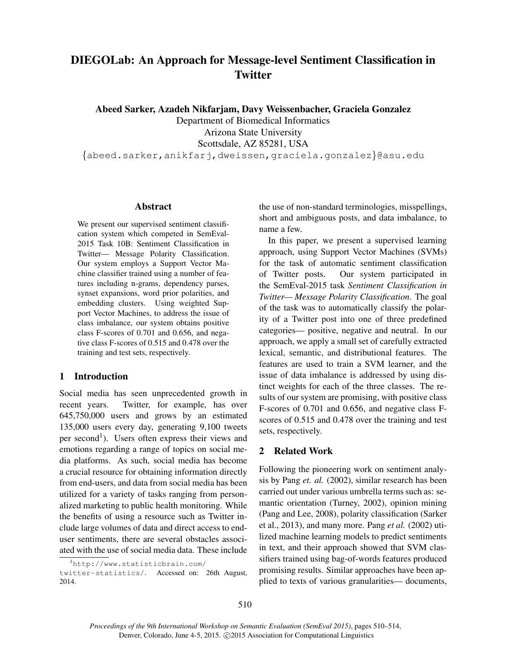# DIEGOLab: An Approach for Message-level Sentiment Classification in **Twitter**

Abeed Sarker, Azadeh Nikfarjam, Davy Weissenbacher, Graciela Gonzalez

Department of Biomedical Informatics Arizona State University Scottsdale, AZ 85281, USA

{abeed.sarker,anikfarj,dweissen,graciela.gonzalez}@asu.edu

# Abstract

We present our supervised sentiment classification system which competed in SemEval-2015 Task 10B: Sentiment Classification in Twitter— Message Polarity Classification. Our system employs a Support Vector Machine classifier trained using a number of features including n-grams, dependency parses, synset expansions, word prior polarities, and embedding clusters. Using weighted Support Vector Machines, to address the issue of class imbalance, our system obtains positive class F-scores of 0.701 and 0.656, and negative class F-scores of 0.515 and 0.478 over the training and test sets, respectively.

# 1 Introduction

Social media has seen unprecedented growth in recent years. Twitter, for example, has over 645,750,000 users and grows by an estimated 135,000 users every day, generating 9,100 tweets per second<sup>1</sup>). Users often express their views and emotions regarding a range of topics on social media platforms. As such, social media has become a crucial resource for obtaining information directly from end-users, and data from social media has been utilized for a variety of tasks ranging from personalized marketing to public health monitoring. While the benefits of using a resource such as Twitter include large volumes of data and direct access to enduser sentiments, there are several obstacles associated with the use of social media data. These include

twitter-statistics/. Accessed on: 26th August, 2014.

the use of non-standard terminologies, misspellings, short and ambiguous posts, and data imbalance, to name a few.

In this paper, we present a supervised learning approach, using Support Vector Machines (SVMs) for the task of automatic sentiment classification of Twitter posts. Our system participated in the SemEval-2015 task *Sentiment Classification in Twitter— Message Polarity Classification*. The goal of the task was to automatically classify the polarity of a Twitter post into one of three predefined categories— positive, negative and neutral. In our approach, we apply a small set of carefully extracted lexical, semantic, and distributional features. The features are used to train a SVM learner, and the issue of data imbalance is addressed by using distinct weights for each of the three classes. The results of our system are promising, with positive class F-scores of 0.701 and 0.656, and negative class Fscores of 0.515 and 0.478 over the training and test sets, respectively.

# 2 Related Work

Following the pioneering work on sentiment analysis by Pang *et. al.* (2002), similar research has been carried out under various umbrella terms such as: semantic orientation (Turney, 2002), opinion mining (Pang and Lee, 2008), polarity classification (Sarker et al., 2013), and many more. Pang *et al.* (2002) utilized machine learning models to predict sentiments in text, and their approach showed that SVM classifiers trained using bag-of-words features produced promising results. Similar approaches have been applied to texts of various granularities— documents,

<sup>1</sup>http://www.statisticbrain.com/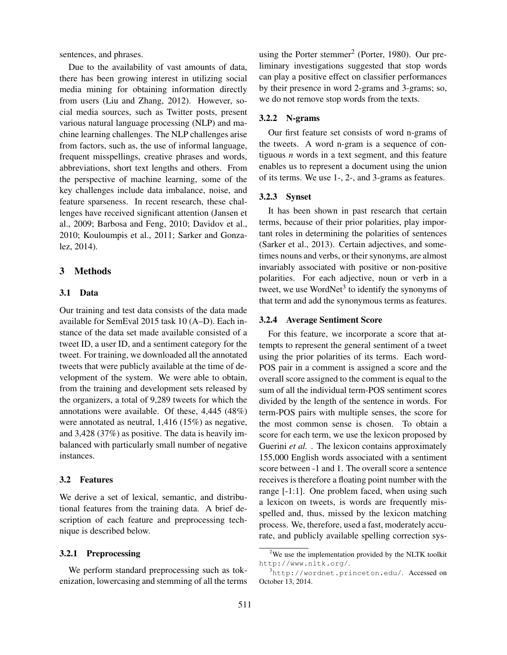sentences, and phrases.

Due to the availability of vast amounts of data, there has been growing interest in utilizing social media mining for obtaining information directly from users (Liu and Zhang, 2012). However, social media sources, such as Twitter posts, present various natural language processing (NLP) and machine learning challenges. The NLP challenges arise from factors, such as, the use of informal language, frequent misspellings, creative phrases and words, abbreviations, short text lengths and others. From the perspective of machine learning, some of the key challenges include data imbalance, noise, and feature sparseness. In recent research, these challenges have received significant attention (Jansen et al., 2009; Barbosa and Feng, 2010; Davidov et al., 2010; Kouloumpis et al., 2011; Sarker and Gonzalez, 2014).

### 3 Methods

# 3.1 Data

Our training and test data consists of the data made available for SemEval 2015 task 10 (A–D). Each instance of the data set made available consisted of a tweet ID, a user ID, and a sentiment category for the tweet. For training, we downloaded all the annotated tweets that were publicly available at the time of development of the system. We were able to obtain, from the training and development sets released by the organizers, a total of 9,289 tweets for which the annotations were available. Of these, 4,445 (48%) were annotated as neutral, 1,416 (15%) as negative, and 3,428 (37%) as positive. The data is heavily imbalanced with particularly small number of negative instances.

### 3.2 Features

We derive a set of lexical, semantic, and distributional features from the training data. A brief description of each feature and preprocessing technique is described below.

#### 3.2.1 Preprocessing

We perform standard preprocessing such as tokenization, lowercasing and stemming of all the terms

using the Porter stemmer<sup>2</sup> (Porter, 1980). Our preliminary investigations suggested that stop words can play a positive effect on classifier performances by their presence in word 2-grams and 3-grams; so, we do not remove stop words from the texts.

# 3.2.2 N-grams

Our first feature set consists of word n-grams of the tweets. A word n-gram is a sequence of contiguous *n* words in a text segment, and this feature enables us to represent a document using the union of its terms. We use 1-, 2-, and 3-grams as features.

#### 3.2.3 Synset

It has been shown in past research that certain terms, because of their prior polarities, play important roles in determining the polarities of sentences (Sarker et al., 2013). Certain adjectives, and sometimes nouns and verbs, or their synonyms, are almost invariably associated with positive or non-positive polarities. For each adjective, noun or verb in a tweet, we use WordNet<sup>3</sup> to identify the synonyms of that term and add the synonymous terms as features.

#### 3.2.4 Average Sentiment Score

For this feature, we incorporate a score that attempts to represent the general sentiment of a tweet using the prior polarities of its terms. Each word-POS pair in a comment is assigned a score and the overall score assigned to the comment is equal to the sum of all the individual term-POS sentiment scores divided by the length of the sentence in words. For term-POS pairs with multiple senses, the score for the most common sense is chosen. To obtain a score for each term, we use the lexicon proposed by Guerini *et al.* . The lexicon contains approximately 155,000 English words associated with a sentiment score between -1 and 1. The overall score a sentence receives is therefore a floating point number with the range [-1:1]. One problem faced, when using such a lexicon on tweets, is words are frequently misspelled and, thus, missed by the lexicon matching process. We, therefore, used a fast, moderately accurate, and publicly available spelling correction sys-

 $2$ We use the implementation provided by the NLTK toolkit http://www.nltk.org/.

 $3$ http://wordnet.princeton.edu/. Accessed on October 13, 2014.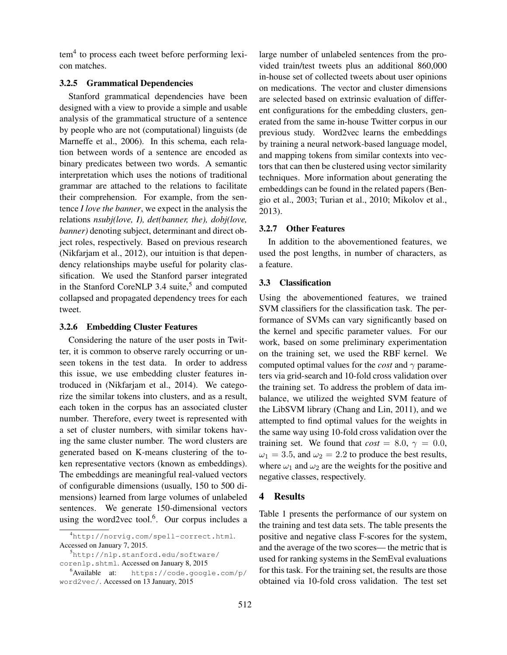tem<sup>4</sup> to process each tweet before performing lexicon matches.

### 3.2.5 Grammatical Dependencies

Stanford grammatical dependencies have been designed with a view to provide a simple and usable analysis of the grammatical structure of a sentence by people who are not (computational) linguists (de Marneffe et al., 2006). In this schema, each relation between words of a sentence are encoded as binary predicates between two words. A semantic interpretation which uses the notions of traditional grammar are attached to the relations to facilitate their comprehension. For example, from the sentence *I love the banner*, we expect in the analysis the relations *nsubj(love, I), det(banner, the), dobj(love, banner)* denoting subject, determinant and direct object roles, respectively. Based on previous research (Nikfarjam et al., 2012), our intuition is that dependency relationships maybe useful for polarity classification. We used the Stanford parser integrated in the Stanford CoreNLP 3.4 suite,<sup>5</sup> and computed collapsed and propagated dependency trees for each tweet.

# 3.2.6 Embedding Cluster Features

Considering the nature of the user posts in Twitter, it is common to observe rarely occurring or unseen tokens in the test data. In order to address this issue, we use embedding cluster features introduced in (Nikfarjam et al., 2014). We categorize the similar tokens into clusters, and as a result, each token in the corpus has an associated cluster number. Therefore, every tweet is represented with a set of cluster numbers, with similar tokens having the same cluster number. The word clusters are generated based on K-means clustering of the token representative vectors (known as embeddings). The embeddings are meaningful real-valued vectors of configurable dimensions (usually, 150 to 500 dimensions) learned from large volumes of unlabeled sentences. We generate 150-dimensional vectors using the word2vec tool. $6$ . Our corpus includes a

large number of unlabeled sentences from the provided train/test tweets plus an additional 860,000 in-house set of collected tweets about user opinions on medications. The vector and cluster dimensions are selected based on extrinsic evaluation of different configurations for the embedding clusters, generated from the same in-house Twitter corpus in our previous study. Word2vec learns the embeddings by training a neural network-based language model, and mapping tokens from similar contexts into vectors that can then be clustered using vector similarity techniques. More information about generating the embeddings can be found in the related papers (Bengio et al., 2003; Turian et al., 2010; Mikolov et al., 2013).

#### 3.2.7 Other Features

In addition to the abovementioned features, we used the post lengths, in number of characters, as a feature.

### 3.3 Classification

Using the abovementioned features, we trained SVM classifiers for the classification task. The performance of SVMs can vary significantly based on the kernel and specific parameter values. For our work, based on some preliminary experimentation on the training set, we used the RBF kernel. We computed optimal values for the *cost* and  $\gamma$  parameters via grid-search and 10-fold cross validation over the training set. To address the problem of data imbalance, we utilized the weighted SVM feature of the LibSVM library (Chang and Lin, 2011), and we attempted to find optimal values for the weights in the same way using 10-fold cross validation over the training set. We found that  $cost = 8.0, \gamma = 0.0$ ,  $\omega_1 = 3.5$ , and  $\omega_2 = 2.2$  to produce the best results, where  $\omega_1$  and  $\omega_2$  are the weights for the positive and negative classes, respectively.

# 4 Results

Table 1 presents the performance of our system on the training and test data sets. The table presents the positive and negative class F-scores for the system, and the average of the two scores— the metric that is used for ranking systems in the SemEval evaluations for this task. For the training set, the results are those obtained via 10-fold cross validation. The test set

<sup>4</sup>http://norvig.com/spell-correct.html. Accessed on January 7, 2015.

<sup>5</sup>http://nlp.stanford.edu/software/ corenlp.shtml. Accessed on January 8, 2015

<sup>6</sup>Available at: https://code.google.com/p/ word2vec/. Accessed on 13 January, 2015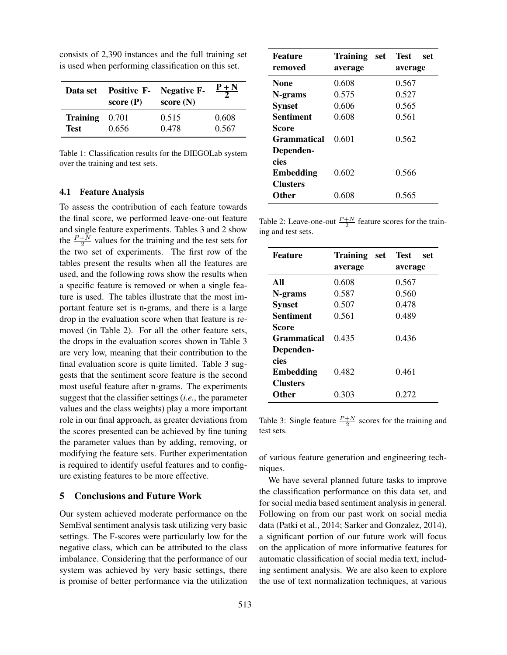| Data set        | <b>Positive F-</b><br>score $(P)$ | <b>Negative F-</b><br>score $(N)$ | $P + N$ |
|-----------------|-----------------------------------|-----------------------------------|---------|
| <b>Training</b> | 0.701                             | 0.515                             | 0.608   |
| <b>Test</b>     | 0.656                             | 0.478                             | 0.567   |

consists of 2,390 instances and the full training set is used when performing classification on this set.

Table 1: Classification results for the DIEGOLab system over the training and test sets.

### 4.1 Feature Analysis

To assess the contribution of each feature towards the final score, we performed leave-one-out feature and single feature experiments. Tables 3 and 2 show the  $\frac{P+N}{2}$  values for the training and the test sets for the two set of experiments. The first row of the tables present the results when all the features are used, and the following rows show the results when a specific feature is removed or when a single feature is used. The tables illustrate that the most important feature set is n-grams, and there is a large drop in the evaluation score when that feature is removed (in Table 2). For all the other feature sets, the drops in the evaluation scores shown in Table 3 are very low, meaning that their contribution to the final evaluation score is quite limited. Table 3 suggests that the sentiment score feature is the second most useful feature after n-grams. The experiments suggest that the classifier settings (*i.e.*, the parameter values and the class weights) play a more important role in our final approach, as greater deviations from the scores presented can be achieved by fine tuning the parameter values than by adding, removing, or modifying the feature sets. Further experimentation is required to identify useful features and to configure existing features to be more effective.

# 5 Conclusions and Future Work

Our system achieved moderate performance on the SemEval sentiment analysis task utilizing very basic settings. The F-scores were particularly low for the negative class, which can be attributed to the class imbalance. Considering that the performance of our system was achieved by very basic settings, there is promise of better performance via the utilization

| <b>Feature</b>     | <b>Training</b><br>set | Test<br>set |  |
|--------------------|------------------------|-------------|--|
| removed            | average                | average     |  |
| <b>None</b>        | 0.608                  | 0.567       |  |
| N-grams            | 0.575                  | 0.527       |  |
| <b>Synset</b>      | 0.606                  | 0.565       |  |
| <b>Sentiment</b>   | 0.608                  | 0.561       |  |
| Score              |                        |             |  |
| <b>Grammatical</b> | 0.601                  | 0.562       |  |
| Dependen-          |                        |             |  |
| cies               |                        |             |  |
| <b>Embedding</b>   | 0.602                  | 0.566       |  |
| <b>Clusters</b>    |                        |             |  |
| <b>Other</b>       | 0.608                  | 0.565       |  |

Table 2: Leave-one-out  $\frac{P+N}{2}$  feature scores for the training and test sets.

| Feature                                     | Training<br>set<br>average | <b>Test</b><br>set<br>average |
|---------------------------------------------|----------------------------|-------------------------------|
| All                                         | 0.608                      | 0.567                         |
| N-grams                                     | 0.587                      | 0.560                         |
| <b>Synset</b>                               | 0.507                      | 0.478                         |
| Sentiment                                   | 0.561                      | 0.489                         |
| Score<br>Grammatical<br>Dependen-           | 0.435                      | 0.436                         |
| cies<br><b>Embedding</b><br><b>Clusters</b> | 0.482                      | 0.461                         |
| <b>Other</b>                                | 0.303                      | 0.272                         |

Table 3: Single feature  $\frac{P+N}{2}$  scores for the training and test sets.

of various feature generation and engineering techniques.

We have several planned future tasks to improve the classification performance on this data set, and for social media based sentiment analysis in general. Following on from our past work on social media data (Patki et al., 2014; Sarker and Gonzalez, 2014), a significant portion of our future work will focus on the application of more informative features for automatic classification of social media text, including sentiment analysis. We are also keen to explore the use of text normalization techniques, at various